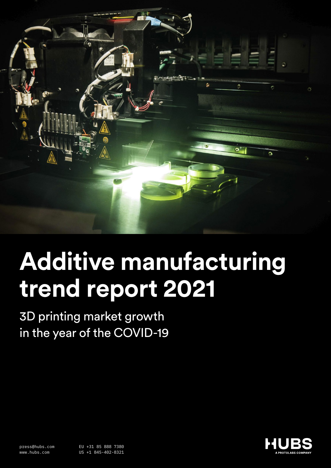

# **Additive manufacturing trend report 2021**

3D printing market growth in the year of the COVID-19

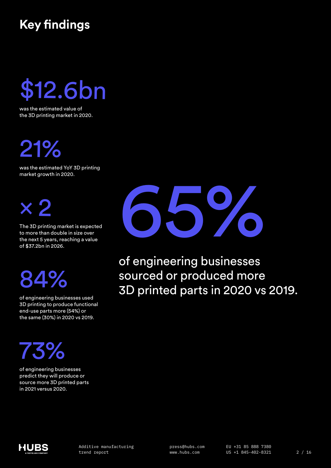## **Key findings**

\$12.6bn

was the estimated value of the 3D printing market in 2020.

21%

was the estimated YoY 3D printing market growth in 2020.



The 3D printing market is expected to more than double in size over the next 5 years, reaching a value of \$37.2bn in 2026.

# 84%

of engineering businesses used 3D printing to produce functional end-use parts more (54%) or the same (30%) in 2020 vs 2019.

# 73%

of engineering businesses predict they will produce or source more 3D printed parts in 2021 versus 2020.



of engineering businesses sourced or produced more 3D printed parts in 2020 vs 2019.

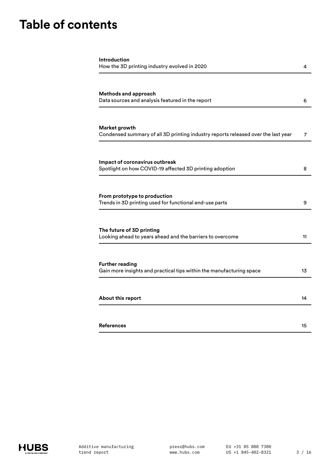## **Table of contents**

| Introduction<br>How the 3D printing industry evolved in 2020                                       | 4  |
|----------------------------------------------------------------------------------------------------|----|
|                                                                                                    |    |
| <b>Methods and approach</b><br>Data sources and analysis featured in the report                    | 6  |
| Market growth<br>Condensed summary of all 3D printing industry reports released over the last year | 7  |
| Impact of coronavirus outbreak<br>Spotlight on how COVID-19 affected 3D printing adoption          | 8  |
|                                                                                                    |    |
|                                                                                                    |    |
| From prototype to production<br>Trends in 3D printing used for functional end-use parts            | 9  |
| The future of 3D printing                                                                          |    |
| Looking ahead to years ahead and the barriers to overcome                                          | 11 |
|                                                                                                    |    |
| <b>Further reading</b><br>Gain more insights and practical tips within the manufacturing space     | 13 |
|                                                                                                    |    |
| About this report                                                                                  | 14 |
|                                                                                                    |    |
|                                                                                                    |    |

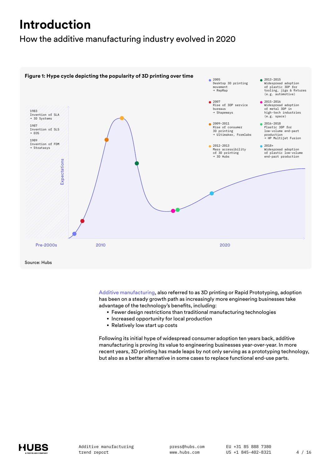## <span id="page-3-0"></span>**Introduction**

### How the additive manufacturing industry evolved in 2020



[Additive manufacturing](https://www.hubs.com/knowledge-base/additive-manufacturing-process/), also referred to as 3D printing or Rapid Prototyping, adoption has been on a steady growth path as increasingly more engineering businesses take advantage of the technology's benefits, including:

- Fewer design restrictions than traditional manufacturing technologies
- Increased opportunity for local production
- Relatively low start up costs

Following its initial hype of widespread consumer adoption ten years back, additive manufacturing is proving its value to engineering businesses year-over-year. In more recent years, 3D printing has made leaps by not only serving as a prototyping technology, but also as a better alternative in some cases to replace functional end-use parts.

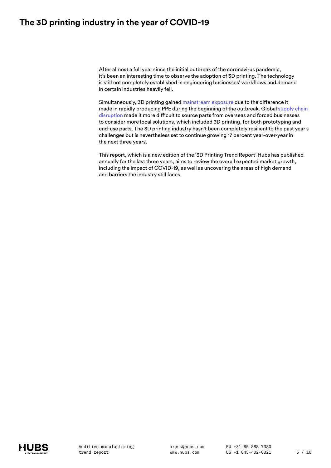### **The 3D printing industry in the year of COVID-19**

After almost a full year since the initial outbreak of the coronavirus pandemic, it's been an interesting time to observe the adoption of 3D printing. The technology is still not completely established in engineering businesses' workflows and demand in certain industries heavily fell.

Simultaneously, 3D printing gained [mainstream exposure](https://www.bbc.com/news/health-52201696) due to the difference it made in rapidly producing PPE during the beginning of the outbreak. Global [supply chain](https://downloads.hubs.com/supply_chain_resilience_report_2020.pdf)  [disruption](https://downloads.hubs.com/supply_chain_resilience_report_2020.pdf) made it more difficult to source parts from overseas and forced businesses to consider more local solutions, which included 3D printing, for both prototyping and end-use parts. The 3D printing industry hasn't been completely resilient to the past year's challenges but is nevertheless set to continue growing 17 percent year-over-year in the next three years.

This report, which is a new edition of the '3D Printing Trend Report' Hubs has published annually for the last three years, aims to review the overall expected market growth, including the impact of COVID-19, as well as uncovering the areas of high demand and barriers the industry still faces.

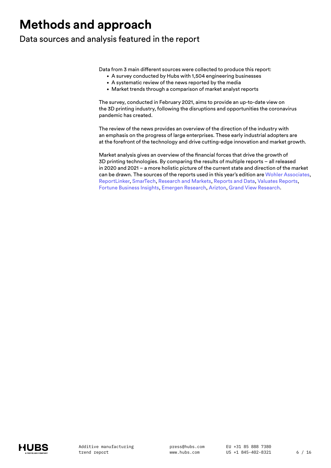## <span id="page-5-0"></span>**Methods and approach**

### Data sources and analysis featured in the report

Data from 3 main different sources were collected to produce this report:

- A survey conducted by Hubs with 1,504 engineering businesses
- A systematic review of the news reported by the media
- Market trends through a comparison of market analyst reports

The survey, conducted in February 2021, aims to provide an up-to-date view on the 3D printing industry, following the disruptions and opportunities the coronavirus pandemic has created.

The review of the news provides an overview of the direction of the industry with an emphasis on the progress of large enterprises. These early industrial adopters are at the forefront of the technology and drive cutting-edge innovation and market growth.

Market analysis gives an overview of the financial forces that drive the growth of 3D printing technologies. By comparing the results of multiple reports – all released in 2020 and 2021 – a more holistic picture of the current state and direction of the market can be drawn. The sources of the reports used in this year's edition are [Wohler Associates,](https://wohlersassociates.com/press83.html) [ReportLinker](https://www.reportlinker.com/p05917852/3D-Printer-Manufacturing-Global-Market-Report-30-Covid-19-Growth-and-Change.html?utm_source=GNW4), [SmarTech](https://www.smartechanalysis.com/news/2019-additive-manufacturing-market-growth/), [Research and Markets,](https://www.researchandmarkets.com/reports/4591362/additive-manufacturing-and-materials-market#rela4-5007755) [Reports and Data,](https://www.reportsanddata.com/report-detail/additive-manufacturing-market) [Valuates Reports](https://www.prnewswire.com/news-releases/3d-printing-additive-manufacturing-market-size-is-expected-to-reach-usd-44520-million-by-2026--at-a-cagr-31-4--valuates-reports-301024821.html), [Fortune Business Insights](https://www.fortunebusinessinsights.com/industry-reports/3d-printing-market-101902), [Emergen Research,](https://www.emergenresearch.com/press-release/global-3d-printing-market) [Arizton,](https://www.arizton.com/market-reports/3d-printing-market) [Grand View Research.](https://www.grandviewresearch.com/industry-analysis/3d-printing-industry-analysis)

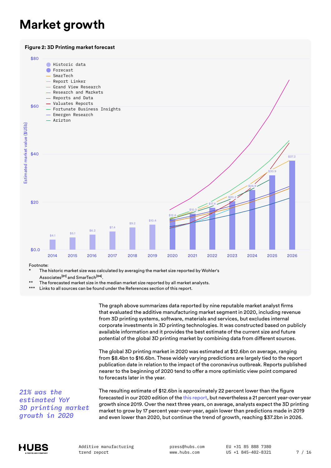### <span id="page-6-0"></span>**Market growth**





Footnote:

The historic market size was calculated by averaging the market size reported by Wohler's Associates**[01]** and SmarTech**[04]**.

The forecasted market size in the median market size reported by all market analysts.

\*\*\* Links to all sources can be found under the References section of this report.

The graph above summarizes data reported by nine reputable market analyst firms that evaluated the additive manufacturing market segment in 2020, including revenue from 3D printing systems, software, materials and services, but excludes internal corporate investments in 3D printing technologies. It was constructed based on publicly available information and it provides the best estimate of the current size and future potential of the global 3D printing market by combining data from different sources.

The global 3D printing market in 2020 was estimated at \$12.6bn on average, ranging from \$8.4bn to \$16.6bn. These widely varying predictions are largely tied to the report publication date in relation to the impact of the coronavirus outbreak. Reports published nearer to the beginning of 2020 tend to offer a more optimistic view point compared to forecasts later in the year.

*21% was the estimated YoY 3D printing market growth in 2020*

The resulting estimate of \$12.6bn is approximately 22 percent lower than the figure forecasted in our 2020 edition of the [this report,](https://downloads.hubs.com/3D_printing_trends_report_2020.pdf) but nevertheless a 21 percent year-over-year growth since 2019. Over the next three years, on average, analysts expect the 3D printing market to grow by 17 percent year-over-year, again lower than predictions made in 2019 and even lower than 2020, but continue the trend of growth, reaching \$37.2bn in 2026.



press@hubs.com www.hubs.com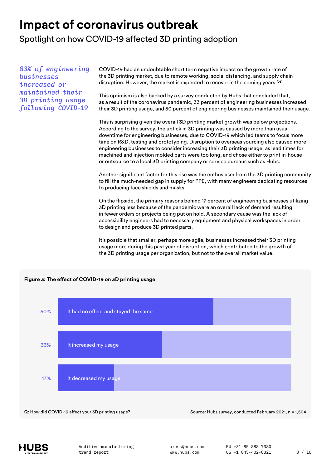### <span id="page-7-0"></span>**Impact of coronavirus outbreak**

Spotlight on how COVID-19 affected 3D printing adoption

*83% of engineering businesses increased or maintained their 3D printing usage following COVID-19*

COVID-19 had an undoubtable short term negative impact on the growth rate of the 3D printing market, due to remote working, social distancing, and supply chain disruption. However, the market is expected to recover in the coming years.**[03]**

This optimism is also backed by a survey conducted by Hubs that concluded that, as a result of the coronavirus pandemic, 33 percent of engineering businesses increased their 3D printing usage, and 50 percent of engineering businesses maintained their usage.

This is surprising given the overall 3D printing market growth was below projections. According to the survey, the uptick in 3D printing was caused by more than usual downtime for engineering businesses, due to COVID-19 which led teams to focus more time on R&D, testing and prototyping. Disruption to overseas sourcing also caused more engineering businesses to consider increasing their 3D printing usage, as lead times for machined and injection molded parts were too long, and chose either to print in-house or outsource to a local 3D printing company or service bureaus such as Hubs.

Another significant factor for this rise was the enthusiasm from the 3D printing community to fill the much-needed gap in supply for PPE, with many engineers dedicating resources to producing face shields and masks.

On the flipside, the primary reasons behind 17 percent of engineering businesses utilizing 3D printing less because of the pandemic were an overall lack of demand resulting in fewer orders or projects being put on hold. A secondary cause was the lack of accessibility engineers had to necessary equipment and physical workspaces in order to design and produce 3D printed parts.

It's possible that smaller, perhaps more agile, businesses increased their 3D printing usage more during this past year of disruption, which contributed to the growth of the 3D printing usage per organization, but not to the overall market value.



Q: How did COVID-19 affect your 3D printing usage? Source: Hubs survey, conducted February 2021, n = 1,504

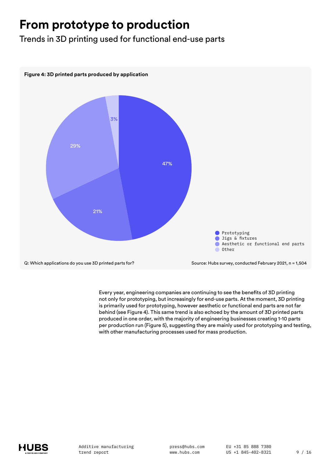### <span id="page-8-0"></span>**From prototype to production**

Trends in 3D printing used for functional end-use parts



Every year, engineering companies are continuing to see the benefits of 3D printing not only for prototyping, but increasingly for end-use parts. At the moment, 3D printing is primarily used for prototyping, however aesthetic or functional end parts are not far behind (see Figure 4). This same trend is also echoed by the amount of 3D printed parts produced in one order, with the majority of engineering businesses creating 1-10 parts per production run (Figure 5), suggesting they are mainly used for prototyping and testing, with other manufacturing processes used for mass production.

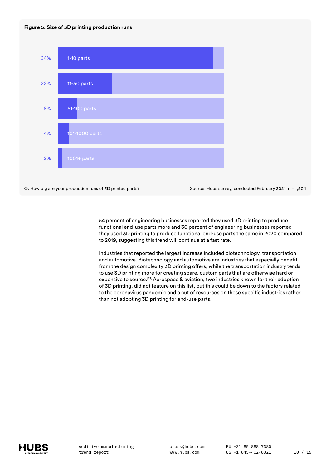#### **Figure 5: Size of 3D printing production runs**



Q: How big are your production runs of 3D printed parts? Source: Hubs survey, conducted February 2021, n = 1,504

54 percent of engineering businesses reported they used 3D printing to produce functional end-use parts more and 30 percent of engineering businesses reported they used 3D printing to produce functional end-use parts the same in 2020 compared to 2019, suggesting this trend will continue at a fast rate.

Industries that reported the largest increase included biotechnology, transportation and automotive. Biotechnology and automotive are industries that especially benefit from the design complexity 3D printing offers, while the transportation industry tends to use 3D printing more for creating spare, custom parts that are otherwise hard or expensive to source.**[12]** Aerospace & aviation, two industries known for their adoption of 3D printing, did not feature on this list, but this could be down to the factors related to the coronavirus pandemic and a cut of resources on those specific industries rather than not adopting 3D printing for end-use parts.

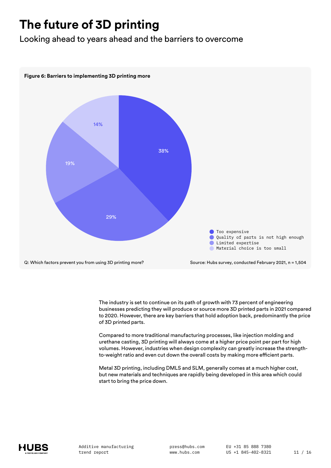## <span id="page-10-0"></span>**The future of 3D printing**

Looking ahead to years ahead and the barriers to overcome



The industry is set to continue on its path of growth with 73 percent of engineering businesses predicting they will produce or source more 3D printed parts in 2021 compared to 2020. However, there are key barriers that hold adoption back, predominantly the price of 3D printed parts.

Compared to more traditional manufacturing processes, like injection molding and urethane casting, 3D printing will always come at a higher price point per part for high volumes. However, industries when design complexity can greatly increase the strengthto-weight ratio and even cut down the overall costs by making more efficient parts.

Metal 3D printing, including DMLS and SLM, generally comes at a much higher cost, but new materials and techniques are rapidly being developed in this area which could start to bring the price down.

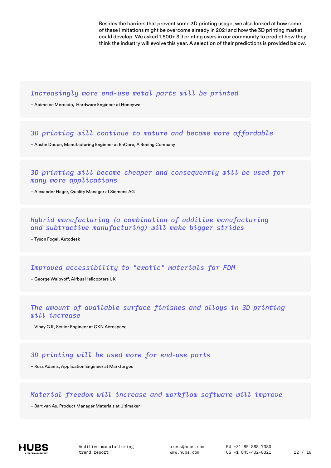Besides the barriers that prevent some 3D printing usage, we also looked at how some of these limitations might be overcome already in 2021 and how the 3D printing market could develop. We asked 1,500+ 3D printing users in our community to predict how they think the industry will evolve this year. A selection of their predictions is provided below.

#### *Increasingly more end-use metal parts will be printed*

– Abimelec Mercado, Hardware Engineer at Honeywell

#### *3D printing will continue to mature and become more affordable*

– Austin Doupe, Manufacturing Engineer at EnCore, A Boeing Company

#### *3D printing will become cheaper and consequently will be used for many more applications*

– Alexander Hager, Quality Manager at Siemens AG

#### *Hybrid manufacturing (a combination of additive manufacturing and subtractive manufacturing) will make bigger strides*

– Tyson Fogel, Autodesk

#### *Improved accessibility to "exotic" materials for FDM*

– George Walbyoff, Airbus Helicopters UK

#### *The amount of available surface finishes and alloys in 3D printing will increase*

– Vinay G R, Senior Engineer at GKN Aerospace

#### *3D printing will be used more for end-use parts*

– Ross Adams, Application Engineer at Markforged

#### *Material freedom will increase and workflow software will improve*

– Bart van As, Product Manager Materials at Ultimaker

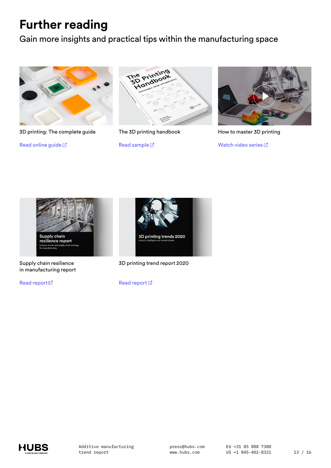### <span id="page-12-0"></span>**Further reading**

Gain more insights and practical tips within the manufacturing space







The 3D printing handbook

R[e](https://www.hubs.com/get/sample-3d-printing-handbook/)ad sample  $\mathbb Z$ 



How to master 3D printing

Watch video series  $\boxtimes$ 



Supply chain resilience in manufacturing report

Read report  $\boxtimes$ 



3D printing trend report 2020

Read repor[t](https://downloads.hubs.com/3D_printing_trends_report_2020.pdf)  $\boxtimes$ 

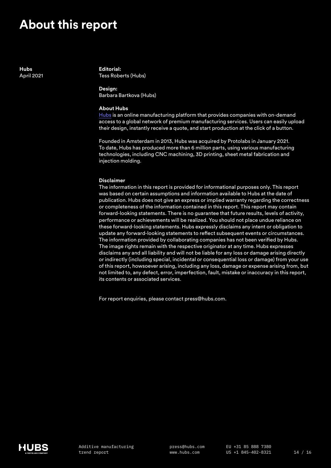### <span id="page-13-0"></span>**About this report**

**Hubs** April 2021

**Editorial:** Tess Roberts (Hubs)

**Design:** Barbara Bartkova (Hubs)

#### **About Hubs**

[Hubs](https://www.hubs.com/) is an online manufacturing platform that provides companies with on-demand access to a global network of premium manufacturing services. Users can easily upload their design, instantly receive a quote, and start production at the click of a button.

Founded in Amsterdam in 2013, Hubs was acquired by Protolabs in January 2021. To date, Hubs has produced more than 6 million parts, using various manufacturing technologies, including CNC machining, 3D printing, sheet metal fabrication and injection molding.

#### **Disclaimer**

The information in this report is provided for informational purposes only. This report was based on certain assumptions and information available to Hubs at the date of publication. Hubs does not give an express or implied warranty regarding the correctness or completeness of the information contained in this report. This report may contain forward-looking statements. There is no guarantee that future results, levels of activity, performance or achievements will be realized. You should not place undue reliance on these forward-looking statements. Hubs expressly disclaims any intent or obligation to update any forward-looking statements to reflect subsequent events or circumstances. The information provided by collaborating companies has not been verified by Hubs. The image rights remain with the respective originator at any time. Hubs expresses disclaims any and all liability and will not be liable for any loss or damage arising directly or indirectly (including special, incidental or consequential loss or damage) from your use of this report, howsoever arising, including any loss, damage or expense arising from, but not limited to, any defect, error, imperfection, fault, mistake or inaccuracy in this report, its contents or associated services.

For report enquiries, please contact press@hubs.com.

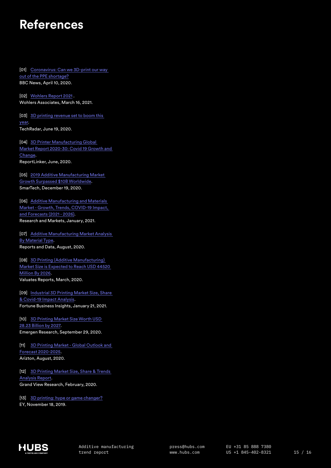### <span id="page-14-0"></span>**References**

[01] Coronavirus: Can we 3D-print our way [out of the PPE shortage?](https://www.bbc.com/news/health-52201696) BBC News, April 10, 2020.

[02] [Wohlers Report 2021](https://wohlersassociates.com/press83.html) . Wohlers Associates, March 16, 2021.

[03] 3D printing revenue set to boom this [year](https://www.techradar.com/news/3d-printing-revenue-set-to-boom-this-year).

TechRadar, June 19, 2020.

[04] [3D Printer Manufacturing Global](https://www.reportlinker.com/p05917852/3D-Printer-Manufacturing-Global-Market-Report-30-Covid-19-Growth-and-Change.html?utm_source=GNW)  [Market Report 2020-30: Covid 19 Growth and](https://www.reportlinker.com/p05917852/3D-Printer-Manufacturing-Global-Market-Report-30-Covid-19-Growth-and-Change.html?utm_source=GNW)  [Change.](https://www.reportlinker.com/p05917852/3D-Printer-Manufacturing-Global-Market-Report-30-Covid-19-Growth-and-Change.html?utm_source=GNW) ReportLinker, June, 2020.

[05] [2019 Additive Manufacturing Market](https://www.smartechanalysis.com/news/2019-additive-manufacturing-market-growth/)  [Growth Surpassed \\$10B Worldwide](https://www.smartechanalysis.com/news/2019-additive-manufacturing-market-growth/). SmarTech, December 19, 2020.

[06] [Additive Manufacturing and Materials](https://www.researchandmarkets.com/reports/4591362/additive-manufacturing-and-materials-market#rela4-5007755)  [Market - Growth, Trends, COVID-19 Impact,](https://www.researchandmarkets.com/reports/4591362/additive-manufacturing-and-materials-market#rela4-5007755)  [and Forecasts \(2021 - 2026\).](https://www.researchandmarkets.com/reports/4591362/additive-manufacturing-and-materials-market#rela4-5007755) Research and Markets, January, 2021.

[07] [Additive Manufacturing Market Analysis](https://www.reportsanddata.com/report-detail/additive-manufacturing-market)  [By Material Type.](https://www.reportsanddata.com/report-detail/additive-manufacturing-market) Reports and Data, August, 2020.

[08] [3D Printing \(Additive Manufacturing\)](https://www.prnewswire.com/news-releases/3d-printing-additive-manufacturing-market-size-is-expected-to-reach-usd-44520-million-by-2026--at-a-cagr-31-4--valuates-reports-301024821.html)  [Market Size is Expected to Reach USD 44520](https://www.prnewswire.com/news-releases/3d-printing-additive-manufacturing-market-size-is-expected-to-reach-usd-44520-million-by-2026--at-a-cagr-31-4--valuates-reports-301024821.html)  [Million By 2026](https://www.prnewswire.com/news-releases/3d-printing-additive-manufacturing-market-size-is-expected-to-reach-usd-44520-million-by-2026--at-a-cagr-31-4--valuates-reports-301024821.html). Valuates Reports, March, 2020.

[09] Industrial 3D Printing Market Size, Share [& Covid-19 Impact Analysis.](https://www.fortunebusinessinsights.com/industry-reports/3d-printing-market-101902) Fortune Business Insights, January 21, 2021.

[10] [3D Printing Market Size Worth USD](https://www.emergenresearch.com/press-release/global-3d-printing-market)  [28.23 Billion by 2027.](https://www.emergenresearch.com/press-release/global-3d-printing-market) Emergen Research, September 29, 2020.

[11] [3D Printing Market - Global Outlook and](https://www.arizton.com/market-reports/3d-printing-market)  [Forecast 2020-2025.](https://www.arizton.com/market-reports/3d-printing-market) Arizton, August, 2020.

[12] [3D Printing Market Size, Share & Trends](https://www.grandviewresearch.com/industry-analysis/3d-printing-industry-analysis)  [Analysis Report](https://www.grandviewresearch.com/industry-analysis/3d-printing-industry-analysis). Grand View Research, February, 2020.

[13] [3D printing: hype or game changer?](https://assets.ey.com/content/dam/ey-sites/ey-com/en_gl/topics/advisory/ey-3d-printing-game-changer.pdf) EY, November 18, 2019.